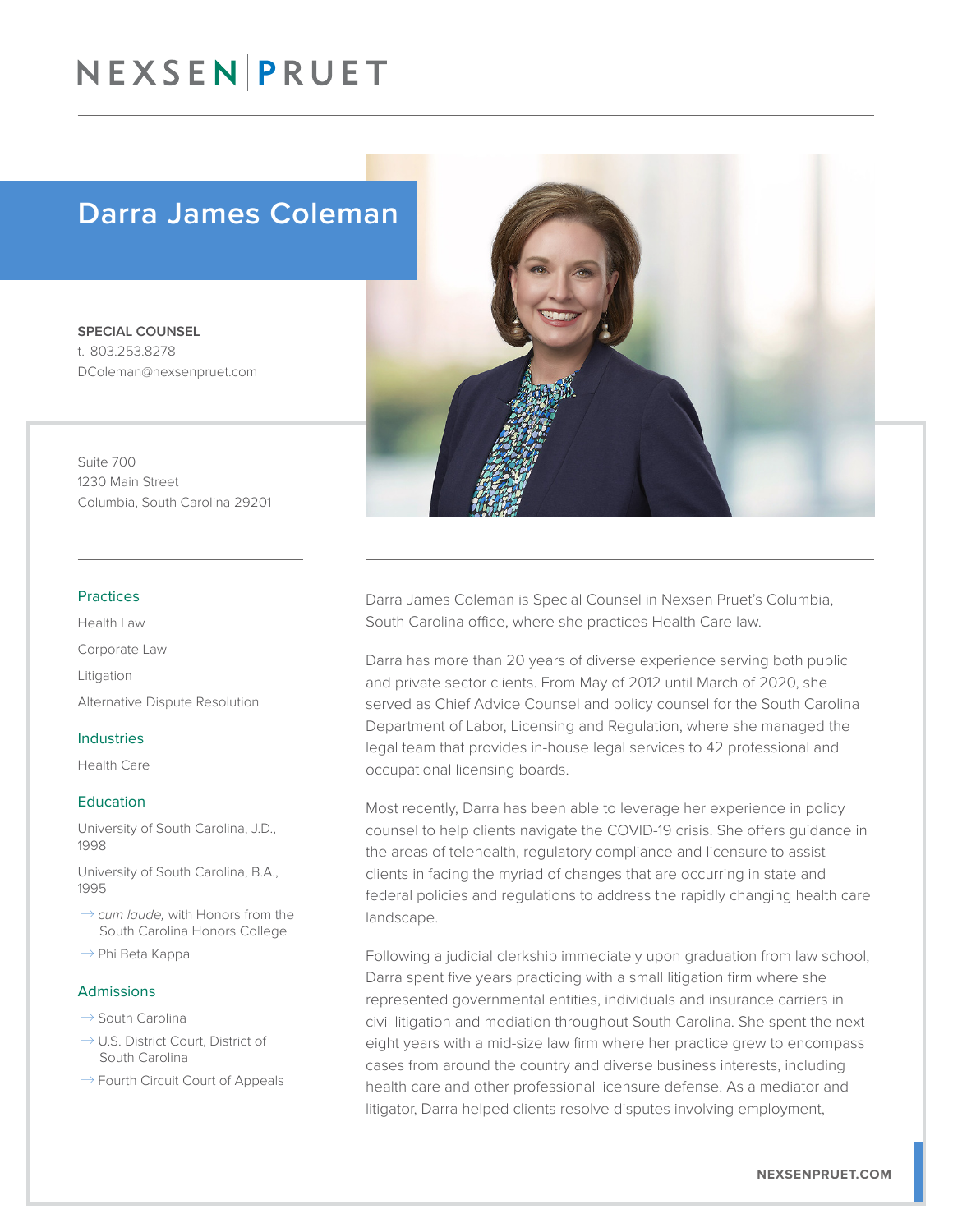## NEXSEN PRUET

### Darra James Coleman

SPECIAL COUNSEL t. 803.253.8278 DColeman@nexsenpruet.com

Suite 700 1230 Main Street Columbia, South Carolina 29201

#### Practices

Health Law Corporate Law Litigation Alternative Dispute Resolution

#### Industries

Health Care

#### **Education**

University of South Carolina, J.D., 1998

University of South Carolina, B.A., 1995

- $\rightarrow$  *cum laude*, with Honors from the South Carolina Honors College
- $\rightarrow$  Phi Beta Kappa

### Admissions

- $\rightarrow$  South Carolina
- $\rightarrow$  U.S. District Court, District of South Carolina
- $\rightarrow$  Fourth Circuit Court of Appeals



Darra James Coleman is Special Counsel in Nexsen Pruet's Columbia, South Carolina office, where she practices Health Care law.

Darra has more than 20 years of diverse experience serving both public and private sector clients. From May of 2012 until March of 2020, she served as Chief Advice Counsel and policy counsel for the South Carolina Department of Labor, Licensing and Regulation, where she managed the legal team that provides in-house legal services to 42 professional and occupational licensing boards.

Most recently, Darra has been able to leverage her experience in policy counsel to help clients navigate the COVID-19 crisis. She offers guidance in the areas of telehealth, regulatory compliance and licensure to assist clients in facing the myriad of changes that are occurring in state and federal policies and regulations to address the rapidly changing health care landscape.

Following a judicial clerkship immediately upon graduation from law school, Darra spent five years practicing with a small litigation firm where she represented governmental entities, individuals and insurance carriers in civil litigation and mediation throughout South Carolina. She spent the next eight years with a mid-size law firm where her practice grew to encompass cases from around the country and diverse business interests, including health care and other professional licensure defense. As a mediator and litigator, Darra helped clients resolve disputes involving employment,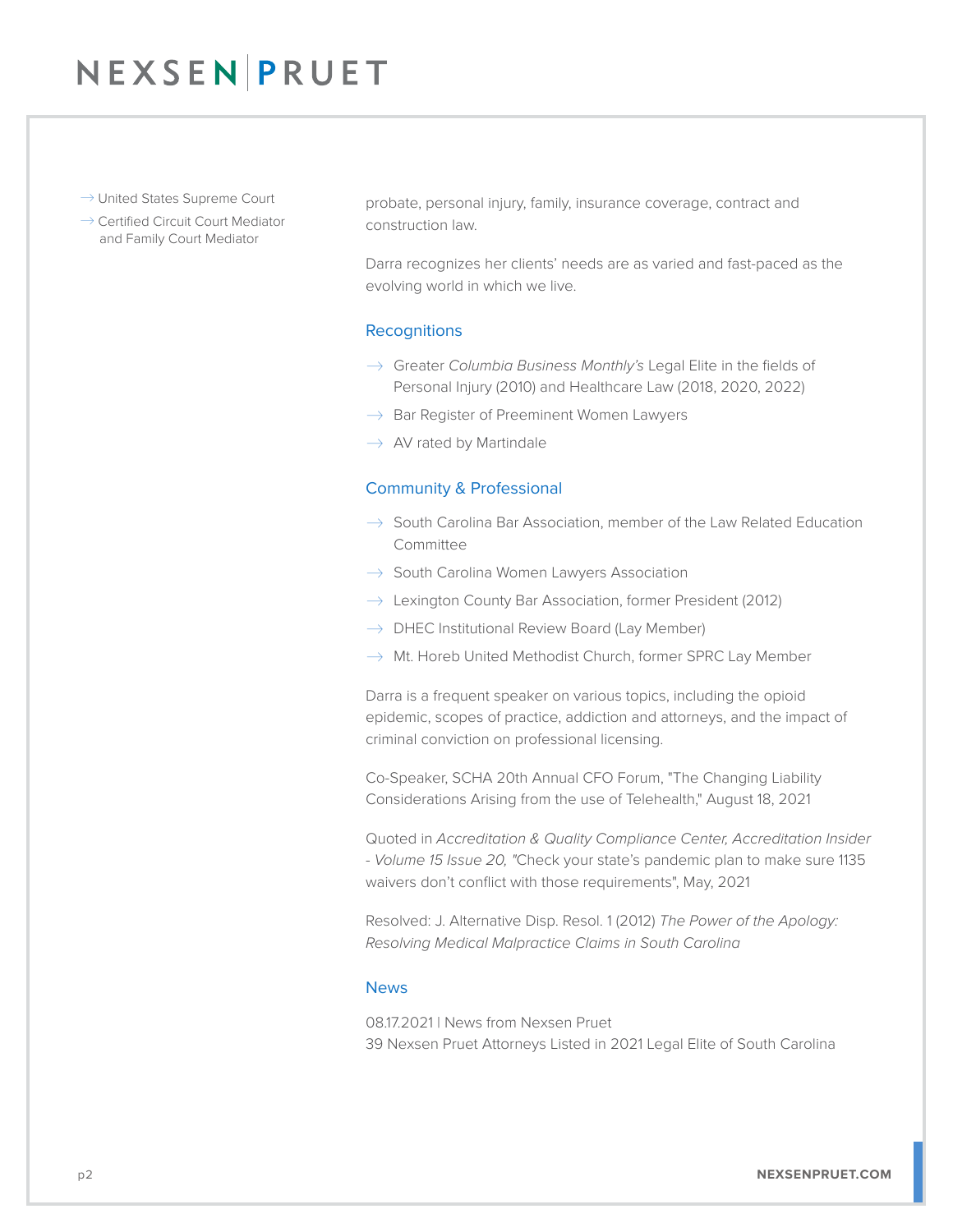# NEXSENPRUET

 $\rightarrow$  United States Supreme Court

 $\rightarrow$  Certified Circuit Court Mediator and Family Court Mediator

probate, personal injury, family, insurance coverage, contract and construction law.

Darra recognizes her clients' needs are as varied and fast-paced as the evolving world in which we live.

### **Recognitions**

- $\rightarrow$  Greater *Columbia Business Monthly's* Legal Elite in the fields of Personal Injury (2010) and Healthcare Law (2018, 2020, 2022)
- $\rightarrow$  Bar Register of Preeminent Women Lawyers
- $\rightarrow$  AV rated by Martindale

### Community & Professional

- $\rightarrow$  South Carolina Bar Association, member of the Law Related Education Committee
- $\rightarrow$  South Carolina Women Lawyers Association
- $\rightarrow$  Lexington County Bar Association, former President (2012)
- $\rightarrow$  DHEC Institutional Review Board (Lay Member)
- $\rightarrow$  Mt. Horeb United Methodist Church, former SPRC Lay Member

Darra is a frequent speaker on various topics, including the opioid epidemic, scopes of practice, addiction and attorneys, and the impact of criminal conviction on professional licensing.

Co-Speaker, SCHA 20th Annual CFO Forum, "The Changing Liability Considerations Arising from the use of Telehealth," August 18, 2021

Quoted in *Accreditation & Quality Compliance Center, Accreditation Insider - Volume 15 Issue 20, "*Check your state's pandemic plan to make sure 1135 waivers don't conflict with those requirements", May, 2021

Resolved: J. Alternative Disp. Resol. 1 (2012) *The Power of the Apology: Resolving Medical Malpractice Claims in South Carolina*

### News

08.17.2021 | News from Nexsen Pruet 39 Nexsen Pruet Attorneys Listed in 2021 Legal Elite of South Carolina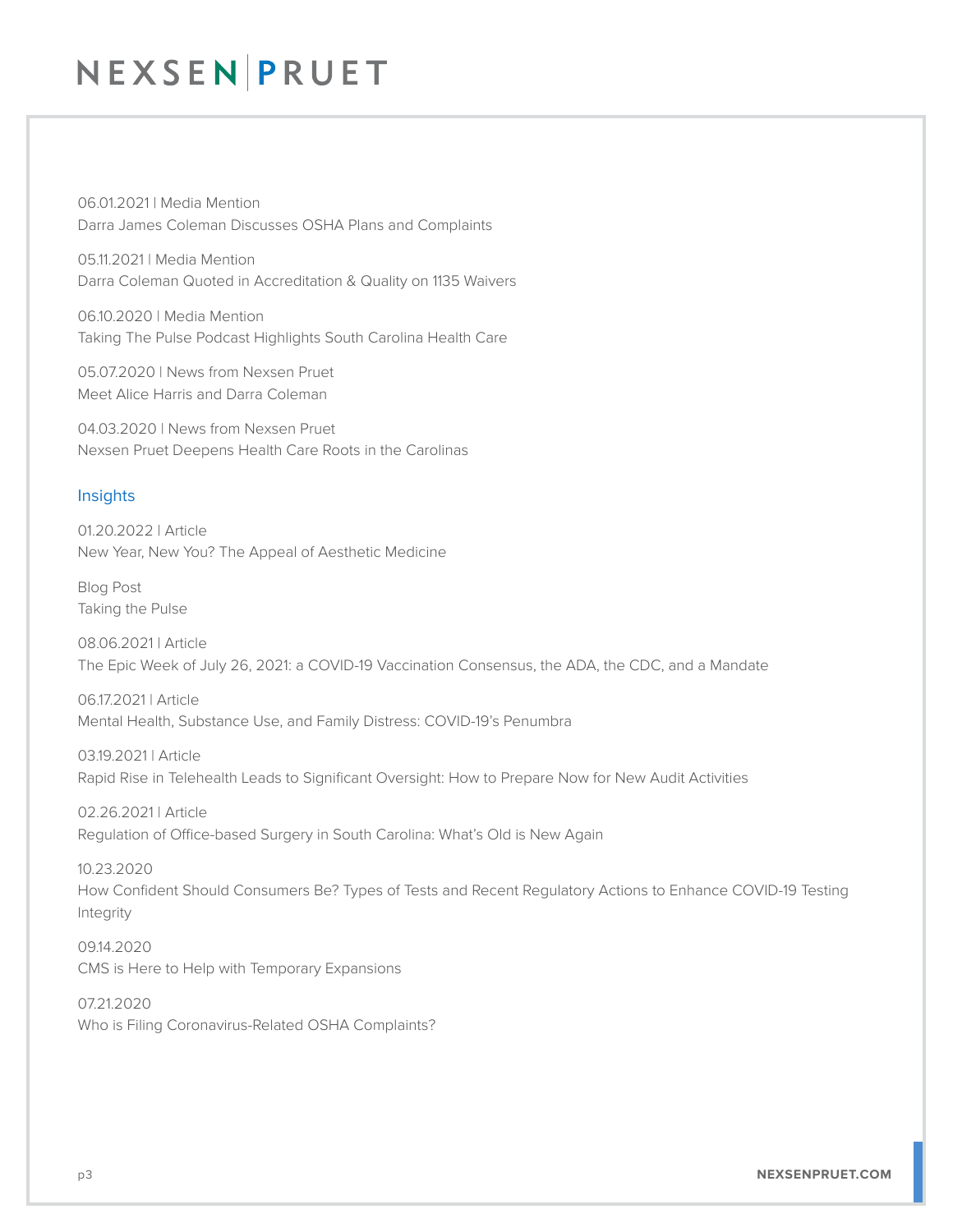# NEXSEN PRUET

06.01.2021 | Media Mention Darra James Coleman Discusses OSHA Plans and Complaints

05.11.2021 | Media Mention Darra Coleman Quoted in Accreditation & Quality on 1135 Waivers

06.10.2020 | Media Mention Taking The Pulse Podcast Highlights South Carolina Health Care

05.07.2020 | News from Nexsen Pruet Meet Alice Harris and Darra Coleman

04.03.2020 | News from Nexsen Pruet Nexsen Pruet Deepens Health Care Roots in the Carolinas

### Insights

01.20.2022 | Article New Year, New You? The Appeal of Aesthetic Medicine

Blog Post Taking the Pulse

08.06.2021 | Article The Epic Week of July 26, 2021: a COVID-19 Vaccination Consensus, the ADA, the CDC, and a Mandate

06.17.2021 | Article Mental Health, Substance Use, and Family Distress: COVID-19's Penumbra

03.19.2021 | Article Rapid Rise in Telehealth Leads to Significant Oversight: How to Prepare Now for New Audit Activities

02.26.2021 | Article Regulation of Office-based Surgery in South Carolina: What's Old is New Again

10.23.2020 How Confident Should Consumers Be? Types of Tests and Recent Regulatory Actions to Enhance COVID-19 Testing Integrity

09.14.2020 CMS is Here to Help with Temporary Expansions

07.21.2020 Who is Filing Coronavirus-Related OSHA Complaints?